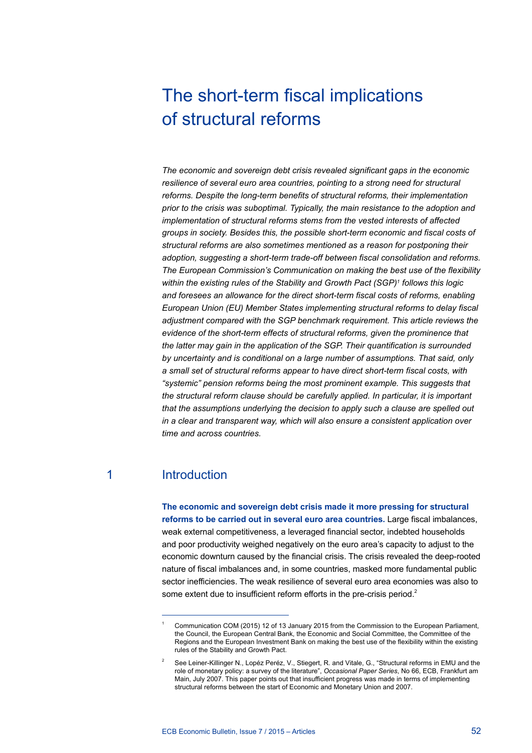# The short-term fiscal implications of structural reforms

*The economic and sovereign debt crisis revealed significant gaps in the economic resilience of several euro area countries, pointing to a strong need for structural reforms. Despite the long-term benefits of structural reforms, their implementation prior to the crisis was suboptimal. Typically, the main resistance to the adoption and implementation of structural reforms stems from the vested interests of affected groups in society. Besides this, the possible short-term economic and fiscal costs of structural reforms are also sometimes mentioned as a reason for postponing their adoption, suggesting a short-term trade-off between fiscal consolidation and reforms. The European Commission's Communication on making the best use of the flexibility within the existing rules of the Stability and Growth Pact (SGP)1 follows this logic and foresees an allowance for the direct short-term fiscal costs of reforms, enabling European Union (EU) Member States implementing structural reforms to delay fiscal adjustment compared with the SGP benchmark requirement. This article reviews the evidence of the short-term effects of structural reforms, given the prominence that the latter may gain in the application of the SGP. Their quantification is surrounded by uncertainty and is conditional on a large number of assumptions. That said, only a small set of structural reforms appear to have direct short-term fiscal costs, with "systemic" pension reforms being the most prominent example. This suggests that the structural reform clause should be carefully applied. In particular, it is important that the assumptions underlying the decision to apply such a clause are spelled out in a clear and transparent way, which will also ensure a consistent application over time and across countries.* 

## 1 Introduction

**The economic and sovereign debt crisis made it more pressing for structural reforms to be carried out in several euro area countries.** Large fiscal imbalances, weak external competitiveness, a leveraged financial sector, indebted households and poor productivity weighed negatively on the euro area's capacity to adjust to the economic downturn caused by the financial crisis. The crisis revealed the deep-rooted nature of fiscal imbalances and, in some countries, masked more fundamental public sector inefficiencies. The weak resilience of several euro area economies was also to some extent due to insufficient reform efforts in the pre-crisis period.<sup>2</sup>

<sup>1</sup> Communication COM (2015) 12 of 13 January 2015 from the Commission to the European Parliament, the Council, the European Central Bank, the Economic and Social Committee, the Committee of the Regions and the European Investment Bank on making the best use of the flexibility within the existing rules of the Stability and Growth Pact.

<sup>2</sup> See Leiner-Killinger N., Lopéz Peréz, V., Stiegert, R. and Vitale, G., "Structural reforms in EMU and the role of monetary policy: a survey of the literature", *Occasional Paper Series*, No 66, ECB, Frankfurt am Main, July 2007. This paper points out that insufficient progress was made in terms of implementing structural reforms between the start of Economic and Monetary Union and 2007.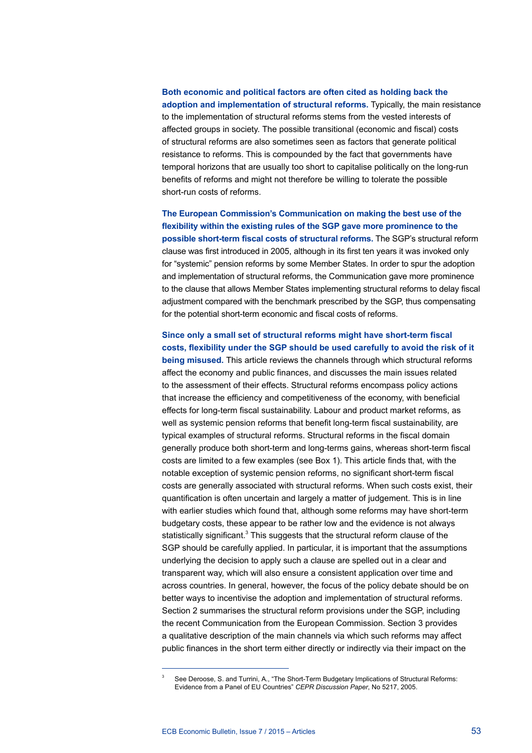### **Both economic and political factors are often cited as holding back the**

**adoption and implementation of structural reforms.** Typically, the main resistance to the implementation of structural reforms stems from the vested interests of affected groups in society. The possible transitional (economic and fiscal) costs of structural reforms are also sometimes seen as factors that generate political resistance to reforms. This is compounded by the fact that governments have temporal horizons that are usually too short to capitalise politically on the long-run benefits of reforms and might not therefore be willing to tolerate the possible short-run costs of reforms.

**The European Commission's Communication on making the best use of the flexibility within the existing rules of the SGP gave more prominence to the possible short-term fiscal costs of structural reforms.** The SGP's structural reform clause was first introduced in 2005, although in its first ten years it was invoked only for "systemic" pension reforms by some Member States. In order to spur the adoption and implementation of structural reforms, the Communication gave more prominence to the clause that allows Member States implementing structural reforms to delay fiscal adjustment compared with the benchmark prescribed by the SGP, thus compensating for the potential short-term economic and fiscal costs of reforms.

## **Since only a small set of structural reforms might have short-term fiscal costs, flexibility under the SGP should be used carefully to avoid the risk of it being misused.** This article reviews the channels through which structural reforms affect the economy and public finances, and discusses the main issues related to the assessment of their effects. Structural reforms encompass policy actions that increase the efficiency and competitiveness of the economy, with beneficial effects for long-term fiscal sustainability. Labour and product market reforms, as well as systemic pension reforms that benefit long-term fiscal sustainability, are typical examples of structural reforms. Structural reforms in the fiscal domain generally produce both short-term and long-terms gains, whereas short-term fiscal costs are limited to a few examples (see Box 1). This article finds that, with the notable exception of systemic pension reforms, no significant short-term fiscal costs are generally associated with structural reforms. When such costs exist, their quantification is often uncertain and largely a matter of judgement. This is in line with earlier studies which found that, although some reforms may have short-term budgetary costs, these appear to be rather low and the evidence is not always statistically significant.<sup>3</sup> This suggests that the structural reform clause of the SGP should be carefully applied. In particular, it is important that the assumptions underlying the decision to apply such a clause are spelled out in a clear and transparent way, which will also ensure a consistent application over time and across countries. In general, however, the focus of the policy debate should be on better ways to incentivise the adoption and implementation of structural reforms. Section 2 summarises the structural reform provisions under the SGP, including the recent Communication from the European Commission. Section 3 provides a qualitative description of the main channels via which such reforms may affect public finances in the short term either directly or indirectly via their impact on the

See Deroose, S. and Turrini, A., "The Short-Term Budgetary Implications of Structural Reforms: Evidence from a Panel of EU Countries" *CEPR Discussion Paper*, No 5217, 2005.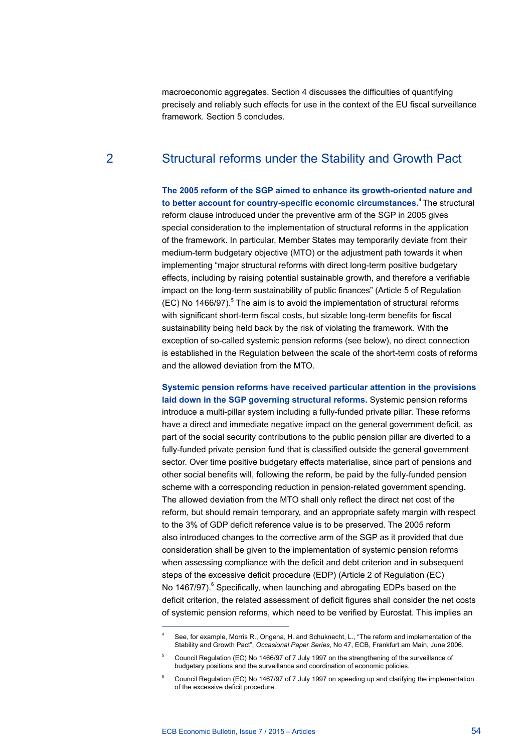macroeconomic aggregates. Section 4 discusses the difficulties of quantifying precisely and reliably such effects for use in the context of the EU fiscal surveillance framework. Section 5 concludes.

## 2 Structural reforms under the Stability and Growth Pact

**The 2005 reform of the SGP aimed to enhance its growth-oriented nature and to better account for country-specific economic circumstances.**4 The structural reform clause introduced under the preventive arm of the SGP in 2005 gives special consideration to the implementation of structural reforms in the application of the framework. In particular, Member States may temporarily deviate from their medium-term budgetary objective (MTO) or the adjustment path towards it when implementing "major structural reforms with direct long-term positive budgetary effects, including by raising potential sustainable growth, and therefore a verifiable impact on the long-term sustainability of public finances" (Article 5 of Regulation  $(EC)$  No 1466/97).<sup>5</sup> The aim is to avoid the implementation of structural reforms with significant short-term fiscal costs, but sizable long-term benefits for fiscal sustainability being held back by the risk of violating the framework. With the exception of so-called systemic pension reforms (see below), no direct connection is established in the Regulation between the scale of the short-term costs of reforms and the allowed deviation from the MTO.

**Systemic pension reforms have received particular attention in the provisions laid down in the SGP governing structural reforms.** Systemic pension reforms introduce a multi-pillar system including a fully-funded private pillar. These reforms have a direct and immediate negative impact on the general government deficit, as part of the social security contributions to the public pension pillar are diverted to a fully-funded private pension fund that is classified outside the general government sector. Over time positive budgetary effects materialise, since part of pensions and other social benefits will, following the reform, be paid by the fully-funded pension scheme with a corresponding reduction in pension-related government spending. The allowed deviation from the MTO shall only reflect the direct net cost of the reform, but should remain temporary, and an appropriate safety margin with respect to the 3% of GDP deficit reference value is to be preserved. The 2005 reform also introduced changes to the corrective arm of the SGP as it provided that due consideration shall be given to the implementation of systemic pension reforms when assessing compliance with the deficit and debt criterion and in subsequent steps of the excessive deficit procedure (EDP) (Article 2 of Regulation (EC) No 1467/97).<sup>6</sup> Specifically, when launching and abrogating EDPs based on the deficit criterion, the related assessment of deficit figures shall consider the net costs of systemic pension reforms, which need to be verified by Eurostat. This implies an

See, for example, Morris R., Ongena, H. and Schuknecht, L., "The reform and implementation of the Stability and Growth Pact", *Occasional Paper Series*, No 47, ECB, Frankfurt am Main, June 2006.

<sup>5</sup> Council Regulation (EC) No 1466/97 of 7 July 1997 on the strengthening of the surveillance of budgetary positions and the surveillance and coordination of economic policies.

<sup>6</sup> Council Regulation (EC) No 1467/97 of 7 July 1997 on speeding up and clarifying the implementation of the excessive deficit procedure.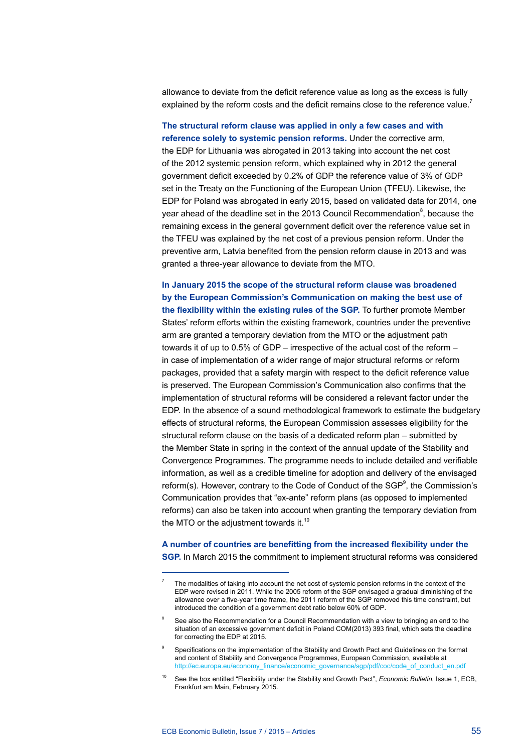allowance to deviate from the deficit reference value as long as the excess is fully explained by the reform costs and the deficit remains close to the reference value.<sup>7</sup>

**The structural reform clause was applied in only a few cases and with reference solely to systemic pension reforms.** Under the corrective arm, the EDP for Lithuania was abrogated in 2013 taking into account the net cost of the 2012 systemic pension reform, which explained why in 2012 the general government deficit exceeded by 0.2% of GDP the reference value of 3% of GDP set in the Treaty on the Functioning of the European Union (TFEU). Likewise, the EDP for Poland was abrogated in early 2015, based on validated data for 2014, one year ahead of the deadline set in the 2013 Council Recommendation<sup>8</sup>, because the remaining excess in the general government deficit over the reference value set in the TFEU was explained by the net cost of a previous pension reform. Under the preventive arm, Latvia benefited from the pension reform clause in 2013 and was granted a three-year allowance to deviate from the MTO.

#### **In January 2015 the scope of the structural reform clause was broadened by the European Commission's Communication on making the best use of the flexibility within the existing rules of the SGP.** To further promote Member

States' reform efforts within the existing framework, countries under the preventive arm are granted a temporary deviation from the MTO or the adjustment path towards it of up to 0.5% of GDP – irrespective of the actual cost of the reform – in case of implementation of a wider range of major structural reforms or reform packages, provided that a safety margin with respect to the deficit reference value is preserved. The European Commission's Communication also confirms that the implementation of structural reforms will be considered a relevant factor under the EDP. In the absence of a sound methodological framework to estimate the budgetary effects of structural reforms, the European Commission assesses eligibility for the structural reform clause on the basis of a dedicated reform plan – submitted by the Member State in spring in the context of the annual update of the Stability and Convergence Programmes. The programme needs to include detailed and verifiable information, as well as a credible timeline for adoption and delivery of the envisaged reform(s). However, contrary to the Code of Conduct of the SGP<sup>9</sup>, the Commission's Communication provides that "ex-ante" reform plans (as opposed to implemented reforms) can also be taken into account when granting the temporary deviation from the MTO or the adjustment towards it. $10$ 

## **A number of countries are benefitting from the increased flexibility under the**

**SGP.** In March 2015 the commitment to implement structural reforms was considered

The modalities of taking into account the net cost of systemic pension reforms in the context of the EDP were revised in 2011. While the 2005 reform of the SGP envisaged a gradual diminishing of the allowance over a five-year time frame, the 2011 reform of the SGP removed this time constraint, but introduced the condition of a government debt ratio below 60% of GDP.

See also the Recommendation for a Council Recommendation with a view to bringing an end to the situation of an excessive government deficit in Poland COM(2013) 393 final, which sets the deadline for correcting the EDP at 2015.

Specifications on the implementation of the Stability and Growth Pact and Guidelines on the format and content of Stability and Convergence Programmes, European Commission, available at [http://ec.europa.eu/economy\\_finance/economic\\_governance/sgp/pdf/coc/code\\_of\\_conduct\\_en.pdf](http://ec.europa.eu/economy_finance/economic_governance/sgp/pdf/coc/code_of_conduct_en.pdf)

<sup>10</sup> See the box entitled "Flexibility under the Stability and Growth Pact", *Economic Bulletin*, Issue 1, ECB, Frankfurt am Main, February 2015.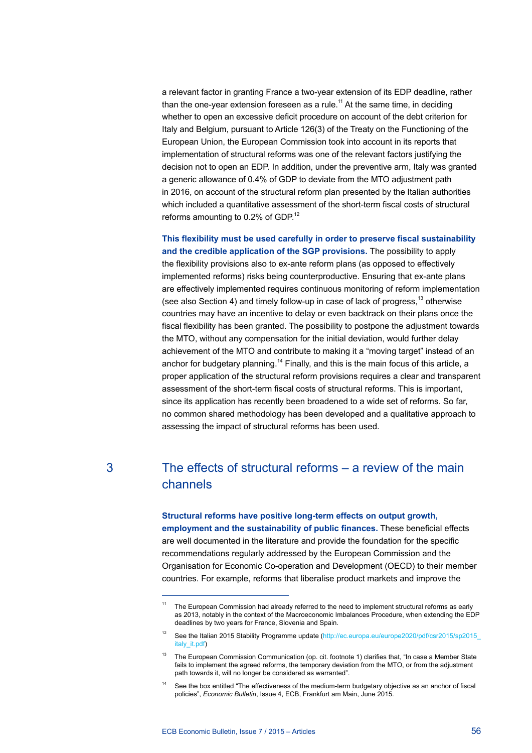a relevant factor in granting France a two-year extension of its EDP deadline, rather than the one-year extension foreseen as a rule.<sup>11</sup> At the same time, in deciding whether to open an excessive deficit procedure on account of the debt criterion for Italy and Belgium, pursuant to Article 126(3) of the Treaty on the Functioning of the European Union, the European Commission took into account in its reports that implementation of structural reforms was one of the relevant factors justifying the decision not to open an EDP. In addition, under the preventive arm, Italy was granted a generic allowance of 0.4% of GDP to deviate from the MTO adjustment path in 2016, on account of the structural reform plan presented by the Italian authorities which included a quantitative assessment of the short-term fiscal costs of structural reforms amounting to 0.2% of GDP.<sup>12</sup>

**This flexibility must be used carefully in order to preserve fiscal sustainability and the credible application of the SGP provisions.** The possibility to apply the flexibility provisions also to ex-ante reform plans (as opposed to effectively implemented reforms) risks being counterproductive. Ensuring that ex-ante plans are effectively implemented requires continuous monitoring of reform implementation (see also Section 4) and timely follow-up in case of lack of progress.<sup>13</sup> otherwise countries may have an incentive to delay or even backtrack on their plans once the fiscal flexibility has been granted. The possibility to postpone the adjustment towards the MTO, without any compensation for the initial deviation, would further delay achievement of the MTO and contribute to making it a "moving target" instead of an anchor for budgetary planning.<sup>14</sup> Finally, and this is the main focus of this article, a proper application of the structural reform provisions requires a clear and transparent assessment of the short-term fiscal costs of structural reforms. This is important, since its application has recently been broadened to a wide set of reforms. So far, no common shared methodology has been developed and a qualitative approach to assessing the impact of structural reforms has been used.

## 3 The effects of structural reforms – a review of the main channels

#### **Structural reforms have positive long-term effects on output growth,**

**employment and the sustainability of public finances.** These beneficial effects are well documented in the literature and provide the foundation for the specific recommendations regularly addressed by the European Commission and the Organisation for Economic Co-operation and Development (OECD) to their member countries. For example, reforms that liberalise product markets and improve the

<sup>&</sup>lt;sup>11</sup> The European Commission had already referred to the need to implement structural reforms as early as 2013, notably in the context of the Macroeconomic Imbalances Procedure, when extending the EDP deadlines by two years for France, Slovenia and Spain.

<sup>&</sup>lt;sup>12</sup> See the Italian 2015 Stability Programme update (http://ec.europa.eu/europe2020/pdf/csr2015/sp2015\_ italy\_it.pdf)

<sup>&</sup>lt;sup>13</sup> The European Commission Communication (op. cit. footnote 1) clarifies that, "In case a Member State fails to implement the agreed reforms, the temporary deviation from the MTO, or from the adjustment path towards it, will no longer be considered as warranted".

<sup>&</sup>lt;sup>14</sup> See the box entitled "The effectiveness of the medium-term budgetary objective as an anchor of fiscal policies", *Economic Bulletin*, Issue 4, ECB, Frankfurt am Main, June 2015.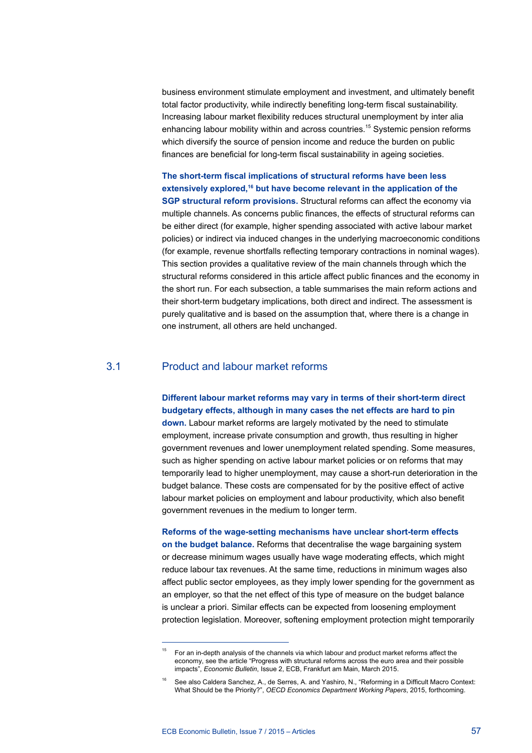business environment stimulate employment and investment, and ultimately benefit total factor productivity, while indirectly benefiting long-term fiscal sustainability. Increasing labour market flexibility reduces structural unemployment by inter alia enhancing labour mobility within and across countries.<sup>15</sup> Systemic pension reforms which diversify the source of pension income and reduce the burden on public finances are beneficial for long-term fiscal sustainability in ageing societies.

**The short-term fiscal implications of structural reforms have been less**  extensively explored,<sup>16</sup> but have become relevant in the application of the **SGP structural reform provisions.** Structural reforms can affect the economy via multiple channels. As concerns public finances, the effects of structural reforms can be either direct (for example, higher spending associated with active labour market policies) or indirect via induced changes in the underlying macroeconomic conditions (for example, revenue shortfalls reflecting temporary contractions in nominal wages). This section provides a qualitative review of the main channels through which the structural reforms considered in this article affect public finances and the economy in the short run. For each subsection, a table summarises the main reform actions and their short-term budgetary implications, both direct and indirect. The assessment is purely qualitative and is based on the assumption that, where there is a change in one instrument, all others are held unchanged.

#### 3.1 Product and labour market reforms

#### **Different labour market reforms may vary in terms of their short-term direct budgetary effects, although in many cases the net effects are hard to pin**

**down.** Labour market reforms are largely motivated by the need to stimulate employment, increase private consumption and growth, thus resulting in higher government revenues and lower unemployment related spending. Some measures, such as higher spending on active labour market policies or on reforms that may temporarily lead to higher unemployment, may cause a short-run deterioration in the budget balance. These costs are compensated for by the positive effect of active labour market policies on employment and labour productivity, which also benefit government revenues in the medium to longer term.

#### **Reforms of the wage-setting mechanisms have unclear short-term effects**

**on the budget balance.** Reforms that decentralise the wage bargaining system or decrease minimum wages usually have wage moderating effects, which might reduce labour tax revenues. At the same time, reductions in minimum wages also affect public sector employees, as they imply lower spending for the government as an employer, so that the net effect of this type of measure on the budget balance is unclear a priori. Similar effects can be expected from loosening employment protection legislation. Moreover, softening employment protection might temporarily

<sup>15</sup> For an in-depth analysis of the channels via which labour and product market reforms affect the economy, see the article "Progress with structural reforms across the euro area and their possible impacts", *Economic Bulletin*, Issue 2, ECB, Frankfurt am Main, March 2015.

<sup>16</sup> See also Caldera Sanchez, A., de Serres, A. and Yashiro, N., "Reforming in a Difficult Macro Context: What Should be the Priority?", *OECD Economics Department Working Papers*, 2015, forthcoming.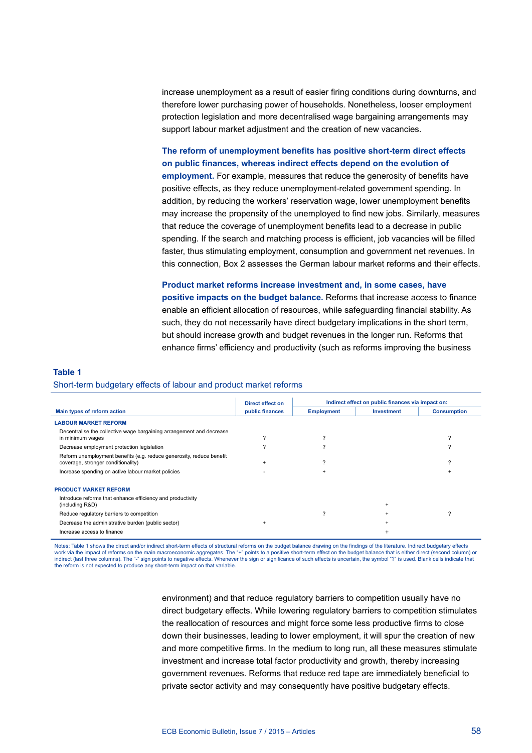increase unemployment as a result of easier firing conditions during downturns, and therefore lower purchasing power of households. Nonetheless, looser employment protection legislation and more decentralised wage bargaining arrangements may support labour market adjustment and the creation of new vacancies.

#### **The reform of unemployment benefits has positive short-term direct effects on public finances, whereas indirect effects depend on the evolution of**

**employment.** For example, measures that reduce the generosity of benefits have positive effects, as they reduce unemployment-related government spending. In addition, by reducing the workers' reservation wage, lower unemployment benefits may increase the propensity of the unemployed to find new jobs. Similarly, measures that reduce the coverage of unemployment benefits lead to a decrease in public spending. If the search and matching process is efficient, job vacancies will be filled faster, thus stimulating employment, consumption and government net revenues. In this connection, Box 2 assesses the German labour market reforms and their effects.

**Product market reforms increase investment and, in some cases, have positive impacts on the budget balance.** Reforms that increase access to finance enable an efficient allocation of resources, while safeguarding financial stability. As such, they do not necessarily have direct budgetary implications in the short term, but should increase growth and budget revenues in the longer run. Reforms that enhance firms' efficiency and productivity (such as reforms improving the business

#### **Table 1**

#### Short-term budgetary effects of labour and product market reforms

|                                                                                                            | Direct effect on |                   |                   | Indirect effect on public finances via impact on: |  |
|------------------------------------------------------------------------------------------------------------|------------------|-------------------|-------------------|---------------------------------------------------|--|
| Main types of reform action                                                                                | public finances  | <b>Employment</b> | <b>Investment</b> | <b>Consumption</b>                                |  |
| <b>LABOUR MARKET REFORM</b>                                                                                |                  |                   |                   |                                                   |  |
| Decentralise the collective wage bargaining arrangement and decrease<br>in minimum wages                   |                  | າ                 |                   | ົ                                                 |  |
| Decrease employment protection legislation                                                                 |                  | າ                 |                   | ◠                                                 |  |
| Reform unemployment benefits (e.g. reduce generosity, reduce benefit<br>coverage, stronger conditionality) |                  | າ                 |                   | C                                                 |  |
| Increase spending on active labour market policies                                                         |                  |                   |                   |                                                   |  |
| <b>PRODUCT MARKET REFORM</b>                                                                               |                  |                   |                   |                                                   |  |
| Introduce reforms that enhance efficiency and productivity<br>(including R&D)                              |                  |                   | $\ddot{}$         |                                                   |  |
| Reduce regulatory barriers to competition                                                                  |                  | っ                 |                   | っ                                                 |  |
| Decrease the administrative burden (public sector)                                                         |                  |                   | $\ddot{}$         |                                                   |  |
| Increase access to finance                                                                                 |                  |                   |                   |                                                   |  |

Notes: Table 1 shows the direct and/or indirect short-term effects of structural reforms on the budget balance drawing on the findings of the literature. Indirect budgetary effects work via the impact of reforms on the main macroeconomic aggregates. The "+" points to a positive short-term effect on the budget balance that is either direct (second column) or indirect (last three columns). The "-" sign points to negative effects. Whenever the sign or significance of such effects is uncertain, the symbol "?" is used. Blank cells indicate that the reform is not expected to produce any short-term impact on that variable.

> environment) and that reduce regulatory barriers to competition usually have no direct budgetary effects. While lowering regulatory barriers to competition stimulates the reallocation of resources and might force some less productive firms to close down their businesses, leading to lower employment, it will spur the creation of new and more competitive firms. In the medium to long run, all these measures stimulate investment and increase total factor productivity and growth, thereby increasing government revenues. Reforms that reduce red tape are immediately beneficial to private sector activity and may consequently have positive budgetary effects.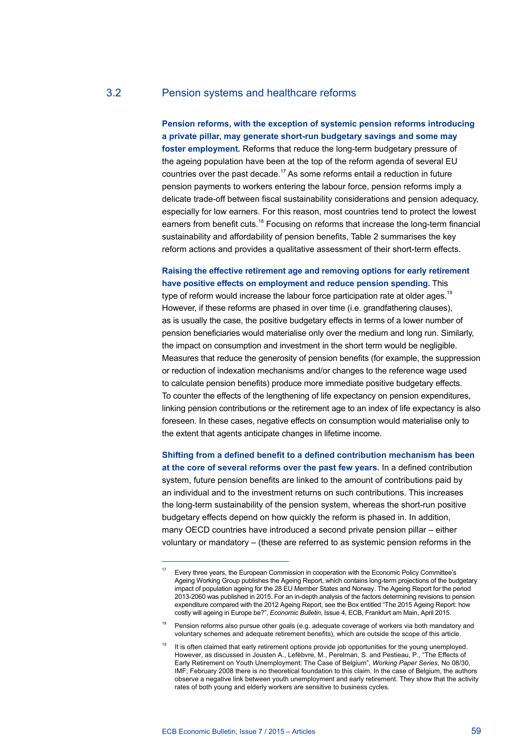#### 3.2 Pension systems and healthcare reforms

**Pension reforms, with the exception of systemic pension reforms introducing a private pillar, may generate short-run budgetary savings and some may foster employment.** Reforms that reduce the long-term budgetary pressure of the ageing population have been at the top of the reform agenda of several EU countries over the past decade.<sup>17</sup> As some reforms entail a reduction in future pension payments to workers entering the labour force, pension reforms imply a delicate trade-off between fiscal sustainability considerations and pension adequacy, especially for low earners. For this reason, most countries tend to protect the lowest earners from benefit cuts.<sup>18</sup> Focusing on reforms that increase the long-term financial sustainability and affordability of pension benefits, Table 2 summarises the key reform actions and provides a qualitative assessment of their short-term effects.

## **Raising the effective retirement age and removing options for early retirement have positive effects on employment and reduce pension spending.** This

type of reform would increase the labour force participation rate at older ages.<sup>19</sup> However, if these reforms are phased in over time (i.e. grandfathering clauses), as is usually the case, the positive budgetary effects in terms of a lower number of pension beneficiaries would materialise only over the medium and long run. Similarly, the impact on consumption and investment in the short term would be negligible. Measures that reduce the generosity of pension benefits (for example, the suppression or reduction of indexation mechanisms and/or changes to the reference wage used to calculate pension benefits) produce more immediate positive budgetary effects. To counter the effects of the lengthening of life expectancy on pension expenditures, linking pension contributions or the retirement age to an index of life expectancy is also foreseen. In these cases, negative effects on consumption would materialise only to the extent that agents anticipate changes in lifetime income.

**Shifting from a defined benefit to a defined contribution mechanism has been at the core of several reforms over the past few years.** In a defined contribution system, future pension benefits are linked to the amount of contributions paid by an individual and to the investment returns on such contributions. This increases the long-term sustainability of the pension system, whereas the short-run positive budgetary effects depend on how quickly the reform is phased in. In addition, many OECD countries have introduced a second private pension pillar – either voluntary or mandatory – (these are referred to as systemic pension reforms in the

<sup>17</sup> Every three years, the European Commission in cooperation with the Economic Policy Committee's Ageing Working Group publishes the Ageing Report, which contains long-term projections of the budgetary impact of population ageing for the 28 EU Member States and Norway. The Ageing Report for the period 2013-2060 was published in 2015. For an in-depth analysis of the factors determining revisions to pension expenditure compared with the 2012 Ageing Report, see the Box entitled "The 2015 Ageing Report: how costly will ageing in Europe be?", *Economic Bulletin*, Issue 4, ECB, Frankfurt am Main, April 2015.

<sup>&</sup>lt;sup>18</sup> Pension reforms also pursue other goals (e.g. adequate coverage of workers via both mandatory and voluntary schemes and adequate retirement benefits), which are outside the scope of this article.

<sup>&</sup>lt;sup>19</sup> It is often claimed that early retirement options provide job opportunities for the young unemployed. However, as discussed in Jousten A., Lefèbvre, M., Perelman, S. and Pestieau, P., "The Effects of Early Retirement on Youth Unemployment: The Case of Belgium", *Working Paper Series*, No 08/30, IMF, February 2008 there is no theoretical foundation to this claim. In the case of Belgium, the authors observe a negative link between youth unemployment and early retirement. They show that the activity rates of both young and elderly workers are sensitive to business cycles.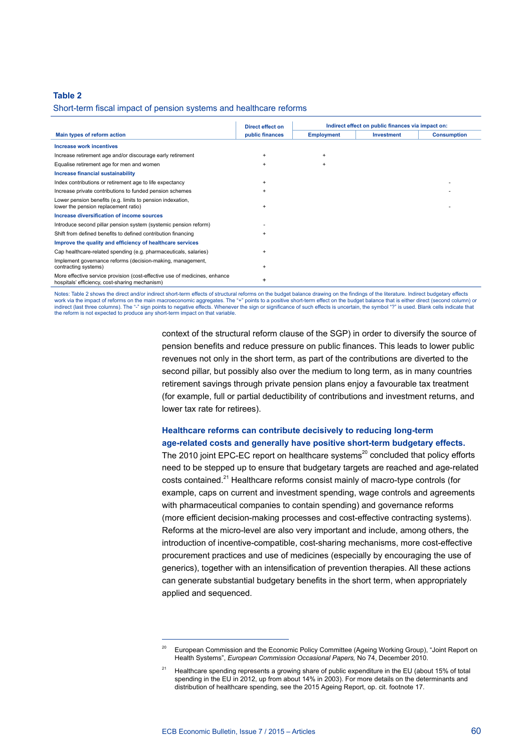#### **Table 2**

#### Short-term fiscal impact of pension systems and healthcare reforms

|                                                                                                                              | Direct effect on | Indirect effect on public finances via impact on: |                   |                    |
|------------------------------------------------------------------------------------------------------------------------------|------------------|---------------------------------------------------|-------------------|--------------------|
| Main types of reform action                                                                                                  | public finances  | <b>Employment</b>                                 | <b>Investment</b> | <b>Consumption</b> |
| Increase work incentives                                                                                                     |                  |                                                   |                   |                    |
| Increase retirement age and/or discourage early retirement                                                                   | $+$              | $+$                                               |                   |                    |
| Equalise retirement age for men and women                                                                                    | $+$              | $\ddot{}$                                         |                   |                    |
| Increase financial sustainability                                                                                            |                  |                                                   |                   |                    |
| Index contributions or retirement age to life expectancy                                                                     | $\ddot{}$        |                                                   |                   |                    |
| Increase private contributions to funded pension schemes                                                                     | $\ddot{}$        |                                                   |                   |                    |
| Lower pension benefits (e.g. limits to pension indexation,<br>lower the pension replacement ratio)                           | $\ddot{}$        |                                                   |                   |                    |
| Increase diversification of income sources                                                                                   |                  |                                                   |                   |                    |
| Introduce second pillar pension system (systemic pension reform)                                                             |                  |                                                   |                   |                    |
| Shift from defined benefits to defined contribution financing                                                                |                  |                                                   |                   |                    |
| Improve the quality and efficiency of healthcare services                                                                    |                  |                                                   |                   |                    |
| Cap healthcare-related spending (e.g. pharmaceuticals, salaries)                                                             | $\ddot{}$        |                                                   |                   |                    |
| Implement governance reforms (decision-making, management,<br>contracting systems)                                           |                  |                                                   |                   |                    |
| More effective service provision (cost-effective use of medicines, enhance<br>hospitals' efficiency, cost-sharing mechanism) |                  |                                                   |                   |                    |

Notes: Table 2 shows the direct and/or indirect short-term effects of structural reforms on the budget balance drawing on the findings of the literature. Indirect budgetary effects work via the impact of reforms on the main macroeconomic aggregates. The "+" points to a positive short-term effect on the budget balance that is either direct (second column) or work via the impact of columns). The "-" sign points to negative effects. Whenever the sign or significance of such effects is uncertain, the symbol "?" is used. Blank cells indicate that indicate that the reform is not expected to produce any short-term impact on that variable.

> context of the structural reform clause of the SGP) in order to diversify the source of pension benefits and reduce pressure on public finances. This leads to lower public revenues not only in the short term, as part of the contributions are diverted to the second pillar, but possibly also over the medium to long term, as in many countries retirement savings through private pension plans enjoy a favourable tax treatment (for example, full or partial deductibility of contributions and investment returns, and lower tax rate for retirees).

#### **Healthcare reforms can contribute decisively to reducing long-term age-related costs and generally have positive short-term budgetary effects.**

The 2010 joint EPC-EC report on healthcare systems $^{20}$  concluded that policy efforts need to be stepped up to ensure that budgetary targets are reached and age-related costs contained.<sup>21</sup> Healthcare reforms consist mainly of macro-type controls (for example, caps on current and investment spending, wage controls and agreements with pharmaceutical companies to contain spending) and governance reforms (more efficient decision-making processes and cost-effective contracting systems). Reforms at the micro-level are also very important and include, among others, the introduction of incentive-compatible, cost-sharing mechanisms, more cost-effective procurement practices and use of medicines (especially by encouraging the use of generics), together with an intensification of prevention therapies. All these actions can generate substantial budgetary benefits in the short term, when appropriately applied and sequenced.

<sup>20</sup> European Commission and the Economic Policy Committee (Ageing Working Group), "Joint Report on Health Systems", *European Commission Occasional Papers,* No 74, December 2010.

<sup>21</sup> Healthcare spending represents a growing share of public expenditure in the EU (about 15% of total spending in the EU in 2012, up from about 14% in 2003). For more details on the determinants and distribution of healthcare spending, see the 2015 Ageing Report, op. cit. footnote 17.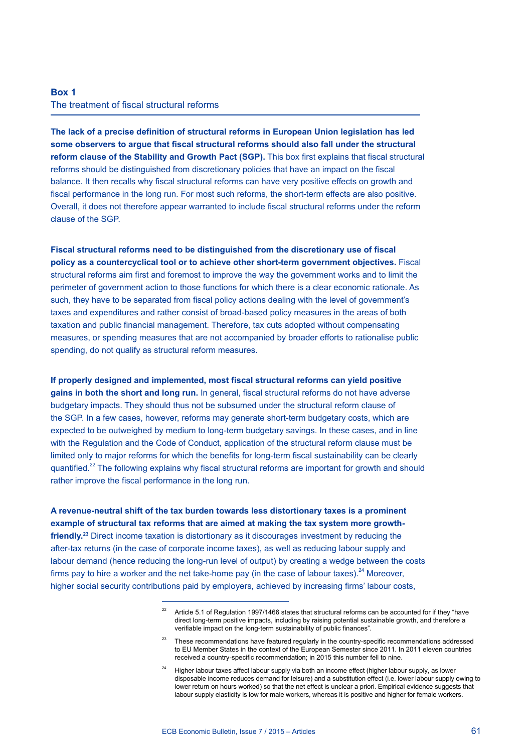## **Box 1** The treatment of fiscal structural reforms

**The lack of a precise definition of structural reforms in European Union legislation has led some observers to argue that fiscal structural reforms should also fall under the structural reform clause of the Stability and Growth Pact (SGP).** This box first explains that fiscal structural reforms should be distinguished from discretionary policies that have an impact on the fiscal balance. It then recalls why fiscal structural reforms can have very positive effects on growth and fiscal performance in the long run. For most such reforms, the short-term effects are also positive. Overall, it does not therefore appear warranted to include fiscal structural reforms under the reform clause of the SGP.

**Fiscal structural reforms need to be distinguished from the discretionary use of fiscal policy as a countercyclical tool or to achieve other short-term government objectives.** Fiscal structural reforms aim first and foremost to improve the way the government works and to limit the perimeter of government action to those functions for which there is a clear economic rationale. As such, they have to be separated from fiscal policy actions dealing with the level of government's taxes and expenditures and rather consist of broad-based policy measures in the areas of both taxation and public financial management. Therefore, tax cuts adopted without compensating measures, or spending measures that are not accompanied by broader efforts to rationalise public spending, do not qualify as structural reform measures.

**If properly designed and implemented, most fiscal structural reforms can yield positive gains in both the short and long run.** In general, fiscal structural reforms do not have adverse budgetary impacts. They should thus not be subsumed under the structural reform clause of the SGP. In a few cases, however, reforms may generate short-term budgetary costs, which are expected to be outweighed by medium to long-term budgetary savings. In these cases, and in line with the Regulation and the Code of Conduct, application of the structural reform clause must be limited only to major reforms for which the benefits for long-term fiscal sustainability can be clearly quantified.<sup>22</sup> The following explains why fiscal structural reforms are important for growth and should rather improve the fiscal performance in the long run.

**A revenue-neutral shift of the tax burden towards less distortionary taxes is a prominent example of structural tax reforms that are aimed at making the tax system more growthfriendly.23** Direct income taxation is distortionary as it discourages investment by reducing the after-tax returns (in the case of corporate income taxes), as well as reducing labour supply and labour demand (hence reducing the long-run level of output) by creating a wedge between the costs firms pay to hire a worker and the net take-home pay (in the case of labour taxes). $^{24}$  Moreover, higher social security contributions paid by employers, achieved by increasing firms' labour costs,

Article 5.1 of Regulation 1997/1466 states that structural reforms can be accounted for if they "have direct long-term positive impacts, including by raising potential sustainable growth, and therefore a verifiable impact on the long-term sustainability of public finances".

<sup>&</sup>lt;sup>23</sup> These recommendations have featured regularly in the country-specific recommendations addressed to EU Member States in the context of the European Semester since 2011. In 2011 eleven countries received a country-specific recommendation; in 2015 this number fell to nine.

Higher labour taxes affect labour supply via both an income effect (higher labour supply, as lower disposable income reduces demand for leisure) and a substitution effect (i.e. lower labour supply owing to lower return on hours worked) so that the net effect is unclear a priori. Empirical evidence suggests that labour supply elasticity is low for male workers, whereas it is positive and higher for female workers.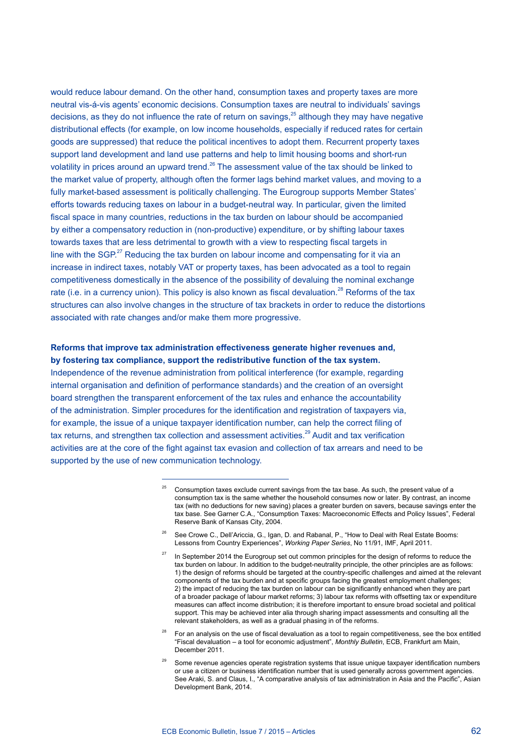would reduce labour demand. On the other hand, consumption taxes and property taxes are more neutral vis-á-vis agents' economic decisions. Consumption taxes are neutral to individuals' savings decisions, as they do not influence the rate of return on savings, $^{25}$  although they may have negative distributional effects (for example, on low income households, especially if reduced rates for certain goods are suppressed) that reduce the political incentives to adopt them. Recurrent property taxes support land development and land use patterns and help to limit housing booms and short-run volatility in prices around an upward trend.<sup>26</sup> The assessment value of the tax should be linked to the market value of property, although often the former lags behind market values, and moving to a fully market-based assessment is politically challenging. The Eurogroup supports Member States' efforts towards reducing taxes on labour in a budget-neutral way. In particular, given the limited fiscal space in many countries, reductions in the tax burden on labour should be accompanied by either a compensatory reduction in (non-productive) expenditure, or by shifting labour taxes towards taxes that are less detrimental to growth with a view to respecting fiscal targets in line with the SGP.<sup>27</sup> Reducing the tax burden on labour income and compensating for it via an increase in indirect taxes, notably VAT or property taxes, has been advocated as a tool to regain competitiveness domestically in the absence of the possibility of devaluing the nominal exchange rate (i.e. in a currency union). This policy is also known as fiscal devaluation.<sup>28</sup> Reforms of the tax structures can also involve changes in the structure of tax brackets in order to reduce the distortions associated with rate changes and/or make them more progressive.

#### **Reforms that improve tax administration effectiveness generate higher revenues and, by fostering tax compliance, support the redistributive function of the tax system.**

Independence of the revenue administration from political interference (for example, regarding internal organisation and definition of performance standards) and the creation of an oversight board strengthen the transparent enforcement of the tax rules and enhance the accountability of the administration. Simpler procedures for the identification and registration of taxpayers via, for example, the issue of a unique taxpayer identification number, can help the correct filing of tax returns, and strengthen tax collection and assessment activities.<sup>29</sup> Audit and tax verification activities are at the core of the fight against tax evasion and collection of tax arrears and need to be supported by the use of new communication technology.

<sup>28</sup> For an analysis on the use of fiscal devaluation as a tool to regain competitiveness, see the box entitled "Fiscal devaluation – a tool for economic adjustment", *Monthly Bulletin*, ECB, Frankfurt am Main, December 2011.

<sup>29</sup> Some revenue agencies operate registration systems that issue unique taxpayer identification numbers or use a citizen or business identification number that is used generally across government agencies. See Araki, S. and Claus, I., "A comparative analysis of tax administration in Asia and the Pacific", Asian Development Bank, 2014.

<sup>25</sup> Consumption taxes exclude current savings from the tax base. As such, the present value of a consumption tax is the same whether the household consumes now or later. By contrast, an income tax (with no deductions for new saving) places a greater burden on savers, because savings enter the tax base. See Garner C.A., "Consumption Taxes: Macroeconomic Effects and Policy Issues", Federal Reserve Bank of Kansas City, 2004.

See Crowe C., Dell'Ariccia, G., Igan, D. and Rabanal, P., "How to Deal with Real Estate Booms: Lessons from Country Experiences", *Working Paper Series*, No 11/91, IMF, April 2011.

In September 2014 the Eurogroup set out common principles for the design of reforms to reduce the tax burden on labour. In addition to the budget-neutrality principle, the other principles are as follows: 1) the design of reforms should be targeted at the country-specific challenges and aimed at the relevant components of the tax burden and at specific groups facing the greatest employment challenges; 2) the impact of reducing the tax burden on labour can be significantly enhanced when they are part of a broader package of labour market reforms; 3) labour tax reforms with offsetting tax or expenditure measures can affect income distribution; it is therefore important to ensure broad societal and political support. This may be achieved inter alia through sharing impact assessments and consulting all the relevant stakeholders, as well as a gradual phasing in of the reforms.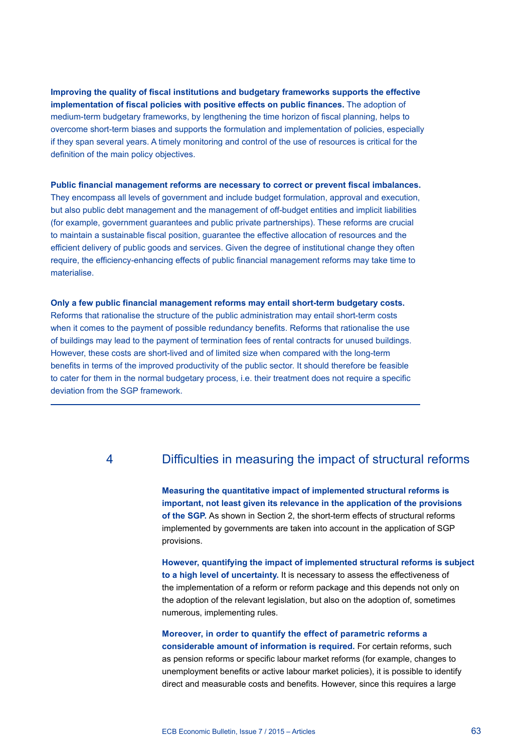**Improving the quality of fiscal institutions and budgetary frameworks supports the effective implementation of fiscal policies with positive effects on public finances.** The adoption of medium-term budgetary frameworks, by lengthening the time horizon of fiscal planning, helps to overcome short-term biases and supports the formulation and implementation of policies, especially if they span several years. A timely monitoring and control of the use of resources is critical for the definition of the main policy objectives.

#### **Public financial management reforms are necessary to correct or prevent fiscal imbalances.**

They encompass all levels of government and include budget formulation, approval and execution, but also public debt management and the management of off-budget entities and implicit liabilities (for example, government guarantees and public private partnerships). These reforms are crucial to maintain a sustainable fiscal position, guarantee the effective allocation of resources and the efficient delivery of public goods and services. Given the degree of institutional change they often require, the efficiency-enhancing effects of public financial management reforms may take time to materialise.

#### **Only a few public financial management reforms may entail short-term budgetary costs.**

Reforms that rationalise the structure of the public administration may entail short-term costs when it comes to the payment of possible redundancy benefits. Reforms that rationalise the use of buildings may lead to the payment of termination fees of rental contracts for unused buildings. However, these costs are short-lived and of limited size when compared with the long-term benefits in terms of the improved productivity of the public sector. It should therefore be feasible to cater for them in the normal budgetary process, i.e. their treatment does not require a specific deviation from the SGP framework.

## 4 Difficulties in measuring the impact of structural reforms

**Measuring the quantitative impact of implemented structural reforms is important, not least given its relevance in the application of the provisions of the SGP.** As shown in Section 2, the short-term effects of structural reforms implemented by governments are taken into account in the application of SGP provisions.

**However, quantifying the impact of implemented structural reforms is subject to a high level of uncertainty.** It is necessary to assess the effectiveness of the implementation of a reform or reform package and this depends not only on the adoption of the relevant legislation, but also on the adoption of, sometimes numerous, implementing rules.

## **Moreover, in order to quantify the effect of parametric reforms a considerable amount of information is required.** For certain reforms, such as pension reforms or specific labour market reforms (for example, changes to unemployment benefits or active labour market policies), it is possible to identify direct and measurable costs and benefits. However, since this requires a large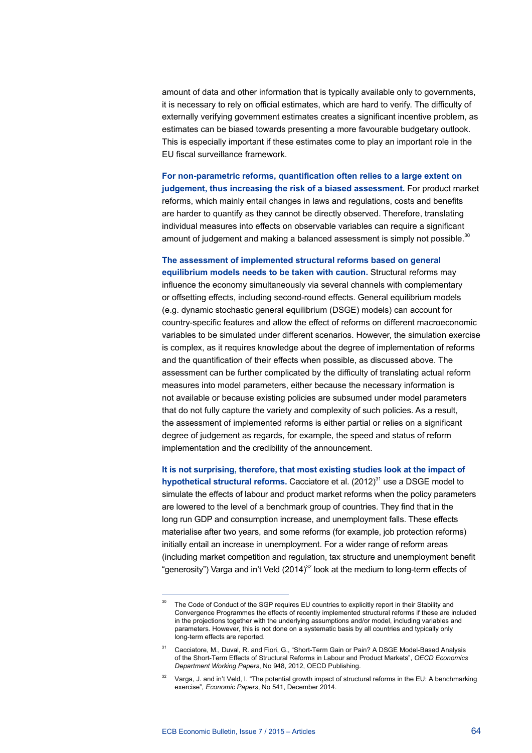amount of data and other information that is typically available only to governments, it is necessary to rely on official estimates, which are hard to verify. The difficulty of externally verifying government estimates creates a significant incentive problem, as estimates can be biased towards presenting a more favourable budgetary outlook. This is especially important if these estimates come to play an important role in the EU fiscal surveillance framework.

**For non-parametric reforms, quantification often relies to a large extent on judgement, thus increasing the risk of a biased assessment.** For product market reforms, which mainly entail changes in laws and regulations, costs and benefits are harder to quantify as they cannot be directly observed. Therefore, translating individual measures into effects on observable variables can require a significant amount of judgement and making a balanced assessment is simply not possible.<sup>30</sup>

**The assessment of implemented structural reforms based on general equilibrium models needs to be taken with caution.** Structural reforms may influence the economy simultaneously via several channels with complementary or offsetting effects, including second-round effects. General equilibrium models (e.g. dynamic stochastic general equilibrium (DSGE) models) can account for country-specific features and allow the effect of reforms on different macroeconomic variables to be simulated under different scenarios. However, the simulation exercise is complex, as it requires knowledge about the degree of implementation of reforms and the quantification of their effects when possible, as discussed above. The assessment can be further complicated by the difficulty of translating actual reform measures into model parameters, either because the necessary information is not available or because existing policies are subsumed under model parameters that do not fully capture the variety and complexity of such policies. As a result, the assessment of implemented reforms is either partial or relies on a significant degree of judgement as regards, for example, the speed and status of reform implementation and the credibility of the announcement.

**It is not surprising, therefore, that most existing studies look at the impact of hypothetical structural reforms.** Cacciatore et al. (2012)<sup>31</sup> use a DSGE model to simulate the effects of labour and product market reforms when the policy parameters are lowered to the level of a benchmark group of countries. They find that in the long run GDP and consumption increase, and unemployment falls. These effects materialise after two years, and some reforms (for example, job protection reforms) initially entail an increase in unemployment. For a wider range of reform areas (including market competition and regulation, tax structure and unemployment benefit "generosity") Varga and in't Veld  $(2014)^{32}$  look at the medium to long-term effects of

The Code of Conduct of the SGP requires EU countries to explicitly report in their Stability and Convergence Programmes the effects of recently implemented structural reforms if these are included in the projections together with the underlying assumptions and/or model, including variables and parameters. However, this is not done on a systematic basis by all countries and typically only long-term effects are reported.

<sup>31</sup> Cacciatore, M., Duval, R. and Fiori, G., "Short-Term Gain or Pain? A DSGE Model-Based Analysis of the Short-Term Effects of Structural Reforms in Labour and Product Markets", *OECD Economics Department Working Papers*, No 948, 2012, OECD Publishing.

<sup>32</sup> Varga, J. and in't Veld, I. "The potential growth impact of structural reforms in the EU: A benchmarking exercise", *Economic Papers*, No 541, December 2014.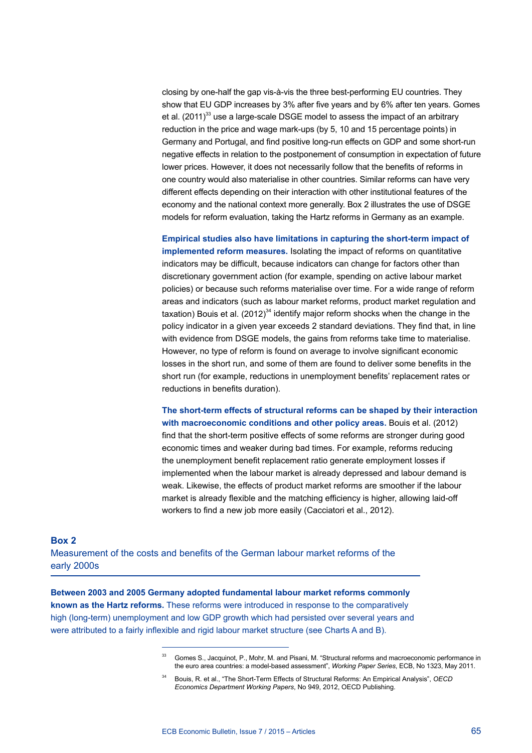closing by one-half the gap vis-à-vis the three best-performing EU countries. They show that EU GDP increases by 3% after five years and by 6% after ten years. Gomes et al.  $(2011)^{33}$  use a large-scale DSGE model to assess the impact of an arbitrary reduction in the price and wage mark-ups (by 5, 10 and 15 percentage points) in Germany and Portugal, and find positive long-run effects on GDP and some short-run negative effects in relation to the postponement of consumption in expectation of future lower prices. However, it does not necessarily follow that the benefits of reforms in one country would also materialise in other countries. Similar reforms can have very different effects depending on their interaction with other institutional features of the economy and the national context more generally. Box 2 illustrates the use of DSGE models for reform evaluation, taking the Hartz reforms in Germany as an example.

**Empirical studies also have limitations in capturing the short-term impact of implemented reform measures.** Isolating the impact of reforms on quantitative indicators may be difficult, because indicators can change for factors other than discretionary government action (for example, spending on active labour market policies) or because such reforms materialise over time. For a wide range of reform areas and indicators (such as labour market reforms, product market regulation and taxation) Bouis et al.  $(2012)^{34}$  identify major reform shocks when the change in the policy indicator in a given year exceeds 2 standard deviations. They find that, in line with evidence from DSGE models, the gains from reforms take time to materialise. However, no type of reform is found on average to involve significant economic losses in the short run, and some of them are found to deliver some benefits in the short run (for example, reductions in unemployment benefits' replacement rates or reductions in benefits duration).

**The short-term effects of structural reforms can be shaped by their interaction with macroeconomic conditions and other policy areas.** Bouis et al. (2012) find that the short-term positive effects of some reforms are stronger during good economic times and weaker during bad times. For example, reforms reducing the unemployment benefit replacement ratio generate employment losses if implemented when the labour market is already depressed and labour demand is weak. Likewise, the effects of product market reforms are smoother if the labour market is already flexible and the matching efficiency is higher, allowing laid-off workers to find a new job more easily (Cacciatori et al., 2012).

#### **Box 2**

Measurement of the costs and benefits of the German labour market reforms of the early 2000s

**Between 2003 and 2005 Germany adopted fundamental labour market reforms commonly known as the Hartz reforms.** These reforms were introduced in response to the comparatively high (long-term) unemployment and low GDP growth which had persisted over several years and were attributed to a fairly inflexible and rigid labour market structure (see Charts A and B).

<sup>33</sup> Gomes S., Jacquinot, P., Mohr, M. and Pisani, M. "Structural reforms and macroeconomic performance in the euro area countries: a model-based assessment", *Working Paper Series*, ECB, No 1323, May 2011.

<sup>34</sup> Bouis, R. et al., "The Short-Term Effects of Structural Reforms: An Empirical Analysis", *OECD Economics Department Working Papers*, No 949, 2012, OECD Publishing.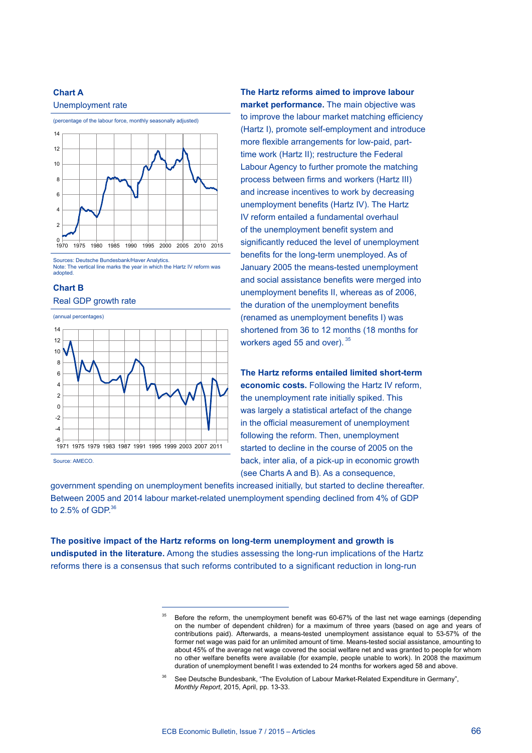## **Chart A**





Note: The vertical line marks the year in which the Hartz IV reform was adopted.

#### **Chart B**





Source: AMECO.

**The Hartz reforms aimed to improve labour market performance.** The main objective was to improve the labour market matching efficiency (Hartz I), promote self-employment and introduce more flexible arrangements for low-paid, parttime work (Hartz II); restructure the Federal Labour Agency to further promote the matching process between firms and workers (Hartz III) and increase incentives to work by decreasing unemployment benefits (Hartz IV). The Hartz IV reform entailed a fundamental overhaul of the unemployment benefit system and significantly reduced the level of unemployment benefits for the long-term unemployed. As of January 2005 the means-tested unemployment and social assistance benefits were merged into unemployment benefits II, whereas as of 2006, the duration of the unemployment benefits (renamed as unemployment benefits I) was shortened from 36 to 12 months (18 months for workers aged 55 and over). 35

**The Hartz reforms entailed limited short-term economic costs.** Following the Hartz IV reform, the unemployment rate initially spiked. This was largely a statistical artefact of the change in the official measurement of unemployment following the reform. Then, unemployment started to decline in the course of 2005 on the back, inter alia, of a pick-up in economic growth (see Charts A and B). As a consequence,

government spending on unemployment benefits increased initially, but started to decline thereafter. Between 2005 and 2014 labour market-related unemployment spending declined from 4% of GDP to  $2.5\%$  of GDP $^{36}$ 

**The positive impact of the Hartz reforms on long-term unemployment and growth is undisputed in the literature.** Among the studies assessing the long-run implications of the Hartz reforms there is a consensus that such reforms contributed to a significant reduction in long-run

<sup>35</sup> Before the reform, the unemployment benefit was 60-67% of the last net wage earnings (depending on the number of dependent children) for a maximum of three years (based on age and years of contributions paid). Afterwards, a means-tested unemployment assistance equal to 53-57% of the former net wage was paid for an unlimited amount of time. Means-tested social assistance, amounting to about 45% of the average net wage covered the social welfare net and was granted to people for whom no other welfare benefits were available (for example, people unable to work). In 2008 the maximum duration of unemployment benefit I was extended to 24 months for workers aged 58 and above.

See Deutsche Bundesbank, "The Evolution of Labour Market-Related Expenditure in Germany", *Monthly Report*, 2015, April, pp. 13-33.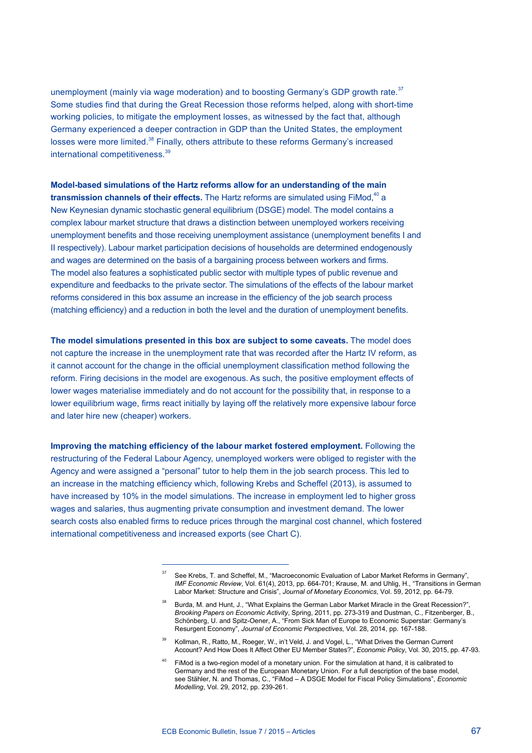unemployment (mainly via wage moderation) and to boosting Germany's GDP growth rate.<sup>37</sup> Some studies find that during the Great Recession those reforms helped, along with short-time working policies, to mitigate the employment losses, as witnessed by the fact that, although Germany experienced a deeper contraction in GDP than the United States, the employment losses were more limited.<sup>38</sup> Finally, others attribute to these reforms Germany's increased international competitiveness.<sup>39</sup>

**Model-based simulations of the Hartz reforms allow for an understanding of the main transmission channels of their effects.** The Hartz reforms are simulated using FiMod,<sup>40</sup> a New Keynesian dynamic stochastic general equilibrium (DSGE) model. The model contains a complex labour market structure that draws a distinction between unemployed workers receiving unemployment benefits and those receiving unemployment assistance (unemployment benefits I and II respectively). Labour market participation decisions of households are determined endogenously and wages are determined on the basis of a bargaining process between workers and firms. The model also features a sophisticated public sector with multiple types of public revenue and expenditure and feedbacks to the private sector. The simulations of the effects of the labour market reforms considered in this box assume an increase in the efficiency of the job search process (matching efficiency) and a reduction in both the level and the duration of unemployment benefits.

**The model simulations presented in this box are subject to some caveats.** The model does not capture the increase in the unemployment rate that was recorded after the Hartz IV reform, as it cannot account for the change in the official unemployment classification method following the reform. Firing decisions in the model are exogenous. As such, the positive employment effects of lower wages materialise immediately and do not account for the possibility that, in response to a lower equilibrium wage, firms react initially by laying off the relatively more expensive labour force and later hire new (cheaper) workers.

**Improving the matching efficiency of the labour market fostered employment.** Following the restructuring of the Federal Labour Agency, unemployed workers were obliged to register with the Agency and were assigned a "personal" tutor to help them in the job search process. This led to an increase in the matching efficiency which, following Krebs and Scheffel (2013), is assumed to have increased by 10% in the model simulations. The increase in employment led to higher gross wages and salaries, thus augmenting private consumption and investment demand. The lower search costs also enabled firms to reduce prices through the marginal cost channel, which fostered international competitiveness and increased exports (see Chart C).

See Krebs, T. and Scheffel, M., "Macroeconomic Evaluation of Labor Market Reforms in Germany". *IMF Economic Review*, Vol. 61(4), 2013, pp. 664-701; Krause, M. and Uhlig, H., "Transitions in German Labor Market: Structure and Crisis", *Journal of Monetary Economics*, Vol. 59, 2012, pp. 64-79.

<sup>&</sup>lt;sup>38</sup> Burda, M. and Hunt, J., "What Explains the German Labor Market Miracle in the Great Recession?", *Brooking Papers on Economic Activity*, Spring, 2011, pp. 273-319 and Dustman, C., Fitzenberger, B., Schönberg, U. and Spitz-Oener, A., "From Sick Man of Europe to Economic Superstar: Germany's Resurgent Economy", *Journal of Economic Perspectives*, Vol. 28, 2014, pp. 167-188.

<sup>&</sup>lt;sup>39</sup> Kollman, R., Ratto, M., Roeger, W., in't Veld, J. and Vogel, L., "What Drives the German Current Account? And How Does It Affect Other EU Member States?", *Economic Policy*, Vol. 30, 2015, pp. 47-93.

<sup>&</sup>lt;sup>40</sup> FiMod is a two-region model of a monetary union. For the simulation at hand, it is calibrated to Germany and the rest of the European Monetary Union. For a full description of the base model, see Stähler, N. and Thomas, C., "FiMod – A DSGE Model for Fiscal Policy Simulations", *Economic Modelling*, Vol. 29, 2012, pp. 239-261.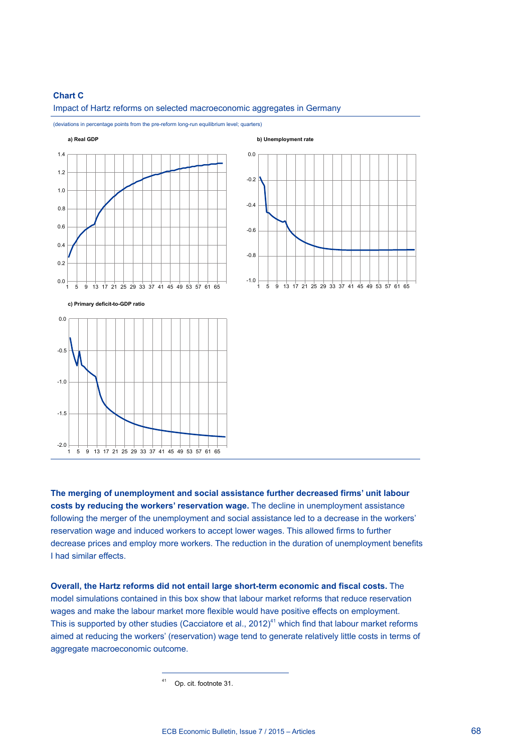#### **Chart C**



Impact of Hartz reforms on selected macroeconomic aggregates in Germany

(deviations in percentage points from the pre-reform long-run equilibrium level; quarters)

**The merging of unemployment and social assistance further decreased firms' unit labour costs by reducing the workers' reservation wage.** The decline in unemployment assistance following the merger of the unemployment and social assistance led to a decrease in the workers' reservation wage and induced workers to accept lower wages. This allowed firms to further decrease prices and employ more workers. The reduction in the duration of unemployment benefits I had similar effects.

**Overall, the Hartz reforms did not entail large short-term economic and fiscal costs.** The model simulations contained in this box show that labour market reforms that reduce reservation wages and make the labour market more flexible would have positive effects on employment. This is supported by other studies (Cacciatore et al., 2012)<sup>41</sup> which find that labour market reforms aimed at reducing the workers' (reservation) wage tend to generate relatively little costs in terms of aggregate macroeconomic outcome.

Op. cit. footnote 31.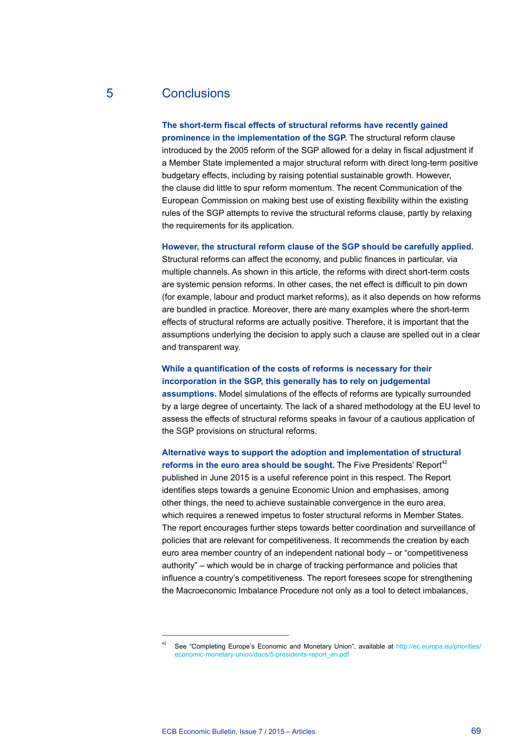## 5 Conclusions

#### **The short-term fiscal effects of structural reforms have recently gained**

**prominence in the implementation of the SGP.** The structural reform clause introduced by the 2005 reform of the SGP allowed for a delay in fiscal adjustment if a Member State implemented a major structural reform with direct long-term positive budgetary effects, including by raising potential sustainable growth. However, the clause did little to spur reform momentum. The recent Communication of the European Commission on making best use of existing flexibility within the existing rules of the SGP attempts to revive the structural reforms clause, partly by relaxing the requirements for its application.

#### **However, the structural reform clause of the SGP should be carefully applied.**

Structural reforms can affect the economy, and public finances in particular, via multiple channels. As shown in this article, the reforms with direct short-term costs are systemic pension reforms. In other cases, the net effect is difficult to pin down (for example, labour and product market reforms), as it also depends on how reforms are bundled in practice. Moreover, there are many examples where the short-term effects of structural reforms are actually positive. Therefore, it is important that the assumptions underlying the decision to apply such a clause are spelled out in a clear and transparent way.

### **While a quantification of the costs of reforms is necessary for their incorporation in the SGP, this generally has to rely on judgemental**

**assumptions.** Model simulations of the effects of reforms are typically surrounded by a large degree of uncertainty. The lack of a shared methodology at the EU level to assess the effects of structural reforms speaks in favour of a cautious application of the SGP provisions on structural reforms.

#### **Alternative ways to support the adoption and implementation of structural**  reforms in the euro area should be sought. The Five Presidents' Report<sup>42</sup>

published in June 2015 is a useful reference point in this respect. The Report identifies steps towards a genuine Economic Union and emphasises, among other things, the need to achieve sustainable convergence in the euro area, which requires a renewed impetus to foster structural reforms in Member States. The report encourages further steps towards better coordination and surveillance of policies that are relevant for competitiveness. It recommends the creation by each euro area member country of an independent national body – or "competitiveness authority" – which would be in charge of tracking performance and policies that influence a country's competitiveness. The report foresees scope for strengthening the Macroeconomic Imbalance Procedure not only as a tool to detect imbalances,

<sup>&</sup>lt;sup>42</sup> See "Completing Europe's Economic and Monetary Union", available at [http://ec.europa.eu/priorities/](http://ec.europa.eu/priorities/economic-monetary-union/docs/5-presidents-report_en.pdf) [economic-monetary-union/docs/5-presidents-report\\_en.pdf](http://ec.europa.eu/priorities/economic-monetary-union/docs/5-presidents-report_en.pdf)